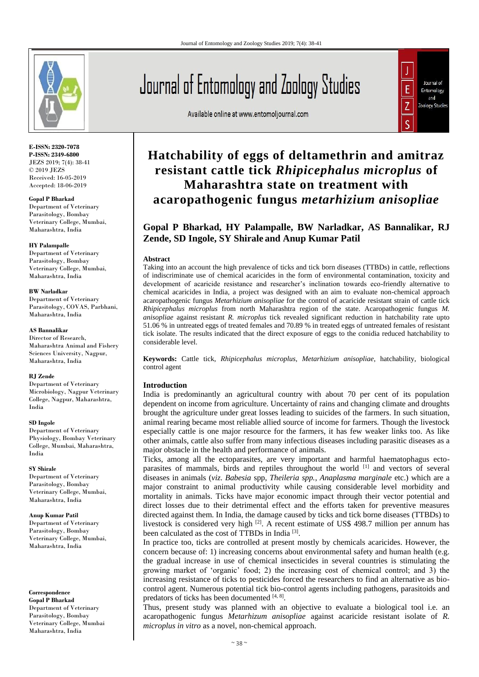

**E-ISSN: 2320-7078 P-ISSN: 2349-6800** JEZS 2019; 7(4): 38-41 © 2019 JEZS Received: 16-05-2019 Accepted: 18-06-2019

**Gopal P Bharkad** Department of Veterinary Parasitology, Bombay Veterinary College, Mumbai, Maharashtra, India

#### **HY Palampalle**

Department of Veterinary Parasitology, Bombay Veterinary College, Mumbai, Maharashtra, India

#### **BW Narladkar**

Department of Veterinary Parasitology, COVAS, Parbhani, Maharashtra, India

#### **AS Bannalikar**

Director of Research, Maharashtra Animal and Fishery Sciences University, Nagpur, Maharashtra, India

#### **RJ Zende**

Department of Veterinary Microbiology, Nagpur Veterinary College, Nagpur, Maharashtra, India

#### **SD Ingole**

Department of Veterinary Physiology, Bombay Veterinary College, Mumbai, Maharashtra, India

#### **SY Shirale**

Department of Veterinary Parasitology, Bombay Veterinary College, Mumbai, Maharashtra, India

#### **Anup Kumar Patil**

Department of Veterinary Parasitology, Bombay Veterinary College, Mumbai, Maharashtra, India

**Correspondence Gopal P Bharkad** Department of Veterinary Parasitology, Bombay Veterinary College, Mumbai Maharashtra, India

# Journal of Entomology and Zoology Studies

Available online at www.entomoljournal.com



## **Hatchability of eggs of deltamethrin and amitraz resistant cattle tick** *Rhipicephalus microplus* **of Maharashtra state on treatment with acaropathogenic fungus** *metarhizium anisopliae*

### **Gopal P Bharkad, HY Palampalle, BW Narladkar, AS Bannalikar, RJ Zende, SD Ingole, SY Shirale and Anup Kumar Patil**

#### **Abstract**

Taking into an account the high prevalence of ticks and tick born diseases (TTBDs) in cattle, reflections of indiscriminate use of chemical acaricides in the form of environmental contamination, toxicity and development of acaricide resistance and researcher's inclination towards eco-friendly alternative to chemical acaricides in India, a project was designed with an aim to evaluate non-chemical approach acaropathogenic fungus *Metarhizium anisopliae* for the control of acaricide resistant strain of cattle tick *Rhipicephalus microplus* from north Maharashtra region of the state. Acaropathogenic fungus *M. anisopliae* against resistant *R. microplus* tick revealed significant reduction in hatchability rate upto 51.06 % in untreated eggs of treated females and 70.89 % in treated eggs of untreated females of resistant tick isolate. The results indicated that the direct exposure of eggs to the conidia reduced hatchability to considerable level.

**Keywords:** Cattle tick, *Rhipicephalus microplus*, *Metarhizium anisopliae*, hatchability, biological control agent

#### **Introduction**

India is predominantly an agricultural country with about 70 per cent of its population dependent on income from agriculture. Uncertainty of rains and changing climate and droughts brought the agriculture under great losses leading to suicides of the farmers. In such situation, animal rearing became most reliable allied source of income for farmers. Though the livestock especially cattle is one major resource for the farmers, it has few weaker links too. As like other animals, cattle also suffer from many infectious diseases including parasitic diseases as a major obstacle in the health and performance of animals.

Ticks, among all the ectoparasites, are very important and harmful haematophagus ectoparasites of mammals, birds and reptiles throughout the world [1] and vectors of several diseases in animals (*viz*. *Babesia* spp, *Theileria spp.*, *Anaplasma marginale* etc.) which are a major constraint to animal productivity while causing considerable level morbidity and mortality in animals. Ticks have major economic impact through their vector potential and direct losses due to their detrimental effect and the efforts taken for preventive measures directed against them. In India, the damage caused by ticks and tick borne diseases (TTBDs) to livestock is considered very high [2]. A recent estimate of US\$ 498.7 million per annum has been calculated as the cost of TTBDs in India<sup>[3]</sup>.

In practice too, ticks are controlled at present mostly by chemicals acaricides. However, the concern because of: 1) increasing concerns about environmental safety and human health (e.g. the gradual increase in use of chemical insecticides in several countries is stimulating the growing market of 'organic' food; 2) the increasing cost of chemical control; and 3) the increasing resistance of ticks to pesticides forced the researchers to find an alternative as biocontrol agent. Numerous potential tick bio-control agents including pathogens, parasitoids and predators of ticks has been documented [4, 8].

Thus, present study was planned with an objective to evaluate a biological tool i.e. an acaropathogenic fungus *Metarhizum anisopliae* against acaricide resistant isolate of *R. microplus in vitro* as a novel, non-chemical approach.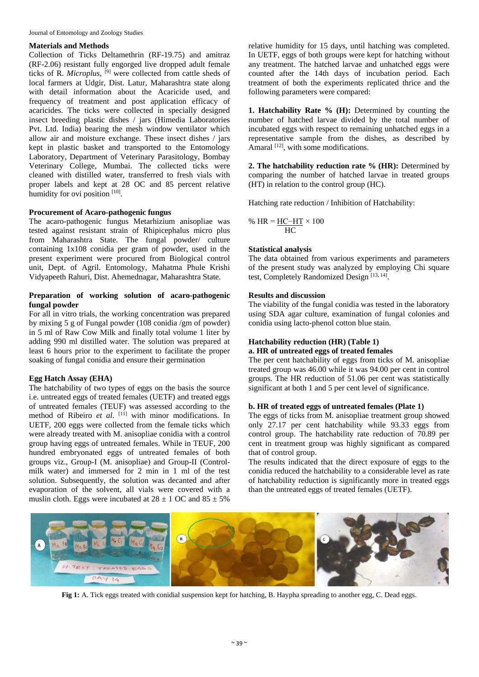#### **Materials and Methods**

Collection of Ticks Deltamethrin (RF-19.75) and amitraz (RF-2.06) resistant fully engorged live dropped adult female ticks of R. *Microplus*, [9] were collected from cattle sheds of local farmers at Udgir, Dist. Latur, Maharashtra state along with detail information about the Acaricide used, and frequency of treatment and post application efficacy of acaricides. The ticks were collected in specially designed insect breeding plastic dishes / jars (Himedia Laboratories Pvt. Ltd. India) bearing the mesh window ventilator which allow air and moisture exchange. These insect dishes / jars kept in plastic basket and transported to the Entomology Laboratory, Department of Veterinary Parasitology, Bombay Veterinary College, Mumbai. The collected ticks were cleaned with distilled water, transferred to fresh vials with proper labels and kept at 28 OC and 85 percent relative humidity for ovi position [10].

#### **Procurement of Acaro-pathogenic fungus**

The acaro-pathogenic fungus Metarhizium anisopliae was tested against resistant strain of Rhipicephalus micro plus from Maharashtra State. The fungal powder/ culture containing 1x108 conidia per gram of powder, used in the present experiment were procured from Biological control unit, Dept. of Agril. Entomology, Mahatma Phule Krishi Vidyapeeth Rahuri, Dist. Ahemednagar, Maharashtra State.

#### **Preparation of working solution of acaro-pathogenic fungal powder**

For all in vitro trials, the working concentration was prepared by mixing 5 g of Fungal powder (108 conidia /gm of powder) in 5 ml of Raw Cow Milk and finally total volume 1 liter by adding 990 ml distilled water. The solution was prepared at least 6 hours prior to the experiment to facilitate the proper soaking of fungal conidia and ensure their germination

#### **Egg Hatch Assay (EHA)**

The hatchability of two types of eggs on the basis the source i.e. untreated eggs of treated females (UETF) and treated eggs of untreated females (TEUF) was assessed according to the method of Ribeiro et al. [11] with minor modifications. In UETF, 200 eggs were collected from the female ticks which were already treated with M. anisopliae conidia with a control group having eggs of untreated females. While in TEUF, 200 hundred embryonated eggs of untreated females of both groups viz., Group-I (M. anisopliae) and Group-II (Controlmilk water) and immersed for 2 min in 1 ml of the test solution. Subsequently, the solution was decanted and after evaporation of the solvent, all vials were covered with a muslin cloth. Eggs were incubated at  $28 \pm 1$  OC and  $85 \pm 5\%$ 

relative humidity for 15 days, until hatching was completed. In UETF, eggs of both groups were kept for hatching without any treatment. The hatched larvae and unhatched eggs were counted after the 14th days of incubation period. Each treatment of both the experiments replicated thrice and the following parameters were compared:

**1. Hatchability Rate % (H):** Determined by counting the number of hatched larvae divided by the total number of incubated eggs with respect to remaining unhatched eggs in a representative sample from the dishes, as described by Amaral  $[12]$ , with some modifications.

**2. The hatchability reduction rate % (HR):** Determined by comparing the number of hatched larvae in treated groups (HT) in relation to the control group (HC).

Hatching rate reduction / Inhibition of Hatchability:

$$
\% HR = \frac{HC - HT}{HC} \times 100
$$

#### **Statistical analysis**

The data obtained from various experiments and parameters of the present study was analyzed by employing Chi square test, Completely Randomized Design<sup>[13, 14]</sup>.

#### **Results and discussion**

The viability of the fungal conidia was tested in the laboratory using SDA agar culture, examination of fungal colonies and conidia using lacto-phenol cotton blue stain.

#### **Hatchability reduction (HR) (Table 1)**

#### **a. HR of untreated eggs of treated females**

The per cent hatchability of eggs from ticks of M. anisopliae treated group was 46.00 while it was 94.00 per cent in control groups. The HR reduction of 51.06 per cent was statistically significant at both 1 and 5 per cent level of significance.

#### **b. HR of treated eggs of untreated females (Plate 1)**

The eggs of ticks from M. anisopliae treatment group showed only 27.17 per cent hatchability while 93.33 eggs from control group. The hatchability rate reduction of 70.89 per cent in treatment group was highly significant as compared that of control group.

The results indicated that the direct exposure of eggs to the conidia reduced the hatchability to a considerable level as rate of hatchability reduction is significantly more in treated eggs than the untreated eggs of treated females (UETF).



**Fig 1:** A. Tick eggs treated with conidial suspension kept for hatching, B. Haypha spreading to another egg, C. Dead eggs.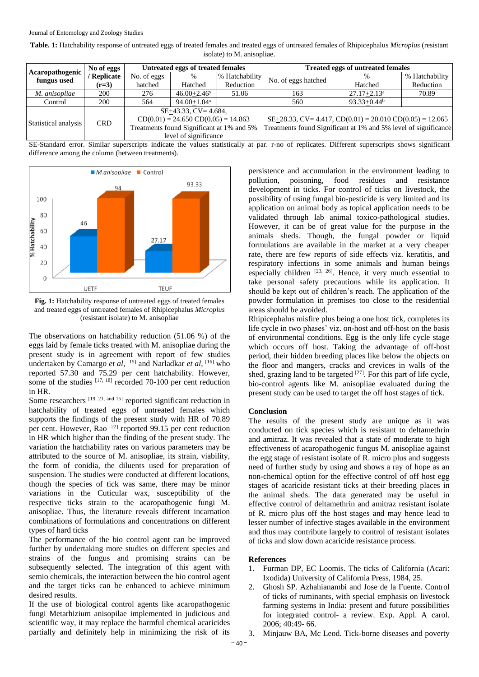| Table. 1: Hatchability response of untreated eggs of treated females and treated eggs of untreated females of Rhipicephalus Microplus (resistant |
|--------------------------------------------------------------------------------------------------------------------------------------------------|
| isolate) to M. anisopliae.                                                                                                                       |

| Acaropathogenic<br>fungus used | No of eggs  | <b>Untreated eggs of treated females</b>                                                                                                 |                             |                | <b>Treated eggs of untreated females</b>                        |                                                                   |                |
|--------------------------------|-------------|------------------------------------------------------------------------------------------------------------------------------------------|-----------------------------|----------------|-----------------------------------------------------------------|-------------------------------------------------------------------|----------------|
|                                | / Replicate | No. of eggs                                                                                                                              | $\%$                        | % Hatchability | No. of eggs hatched                                             | %                                                                 | % Hatchability |
|                                | $(r=3)$     | hatched                                                                                                                                  | Hatched                     | Reduction      |                                                                 | Hatched                                                           | Reduction      |
| M. anisopliae                  | 200         | 276                                                                                                                                      | $46.00 + 2.46$ <sup>y</sup> | 51.06          | 163                                                             | $27.17 + 2.13^a$                                                  | 70.89          |
| Control                        | 200         | 564                                                                                                                                      | $94.00 + 1.04$ <sup>x</sup> |                | 560                                                             | $93.33+0.44^b$                                                    |                |
| Statistical analysis           | <b>CRD</b>  | $SE+43.33$ , $CV=4.684$ ,<br>$CD(0.01) = 24.650 CD(0.05) = 14.863$<br>Treatments found Significant at 1% and 5%<br>level of significance |                             |                | Treatments found Significant at 1% and 5% level of significance | $SE+28.33$ , $CV=4.417$ , $CD(0.01) = 20.010$ $CD(0.05) = 12.065$ |                |

SE-Standard error. Similar superscripts indicate the values statistically at par. r-no of replicates. Different superscripts shows significant difference among the column (between treatments).



**Fig. 1:** Hatchability response of untreated eggs of treated females and treated eggs of untreated females of Rhipicephalus *Microplus* (resistant isolate) to M. anisopliae

The observations on hatchability reduction (51.06 %) of the eggs laid by female ticks treated with M. anisopliae during the present study is in agreement with report of few studies undertaken by Camargo *et al*, [15] and Narladkar *et al*, [16] who reported 57.30 and 75.29 per cent hatchability. However, some of the studies  $[17, 18]$  recorded 70-100 per cent reduction in HR.

Some researchers [19, 21, and 15] reported significant reduction in hatchability of treated eggs of untreated females which supports the findings of the present study with HR of 70.89 per cent. However, Rao  $^{[22]}$  reported 99.15 per cent reduction in HR which higher than the finding of the present study. The variation the hatchability rates on various parameters may be attributed to the source of M. anisopliae, its strain, viability, the form of conidia, the diluents used for preparation of suspension. The studies were conducted at different locations, though the species of tick was same, there may be minor variations in the Cuticular wax, susceptibility of the respective ticks strain to the acaropathogenic fungi M. anisopliae. Thus, the literature reveals different incarnation combinations of formulations and concentrations on different types of hard ticks

The performance of the bio control agent can be improved further by undertaking more studies on different species and strains of the fungus and promising strains can be subsequently selected. The integration of this agent with semio chemicals, the interaction between the bio control agent and the target ticks can be enhanced to achieve minimum desired results.

If the use of biological control agents like acaropathogenic fungi Metarhizium anisopilae implemented in judicious and scientific way, it may replace the harmful chemical acaricides partially and definitely help in minimizing the risk of its

persistence and accumulation in the environment leading to pollution, poisoning, food residues and resistance development in ticks. For control of ticks on livestock, the possibility of using fungal bio-pesticide is very limited and its application on animal body as topical application needs to be validated through lab animal toxico-pathological studies. However, it can be of great value for the purpose in the animals sheds. Though, the fungal powder or liquid formulations are available in the market at a very cheaper rate, there are few reports of side effects viz. keratitis, and respiratory infections in some animals and human beings especially children  $[23, 26]$ . Hence, it very much essential to take personal safety precautions while its application. It should be kept out of children's reach. The application of the powder formulation in premises too close to the residential areas should be avoided.

Rhipicephalus misfire plus being a one host tick, completes its life cycle in two phases' viz. on-host and off-host on the basis of environmental conditions. Egg is the only life cycle stage which occurs off host. Taking the advantage of off-host period, their hidden breeding places like below the objects on the floor and mangers, cracks and crevices in walls of the shed, grazing land to be targeted  $[27]$ . For this part of life cycle, bio-control agents like M. anisopliae evaluated during the present study can be used to target the off host stages of tick.

#### **Conclusion**

The results of the present study are unique as it was conducted on tick species which is resistant to deltamethrin and amitraz. It was revealed that a state of moderate to high effectiveness of acaropathogenic fungus M. anisopliae against the egg stage of resistant isolate of R. micro plus and suggests need of further study by using and shows a ray of hope as an non-chemical option for the effective control of off host egg stages of acaricide resistant ticks at their breeding places in the animal sheds. The data generated may be useful in effective control of deltamethrin and amitraz resistant isolate of R. micro plus off the host stages and may hence lead to lesser number of infective stages available in the environment and thus may contribute largely to control of resistant isolates of ticks and slow down acaricide resistance process.

#### **References**

- 1. Furman DP, EC Loomis. The ticks of California (Acari: Ixodida) University of California Press, 1984, 25.
- 2. Ghosh SP. Azhahianambi and Jose de la Fuente. Control of ticks of ruminants, with special emphasis on livestock farming systems in India: present and future possibilities for integrated control- a review. Exp. Appl. A carol. 2006; 40:49- 66.
- 3. Minjauw BA, Mc Leod. Tick-borne diseases and poverty